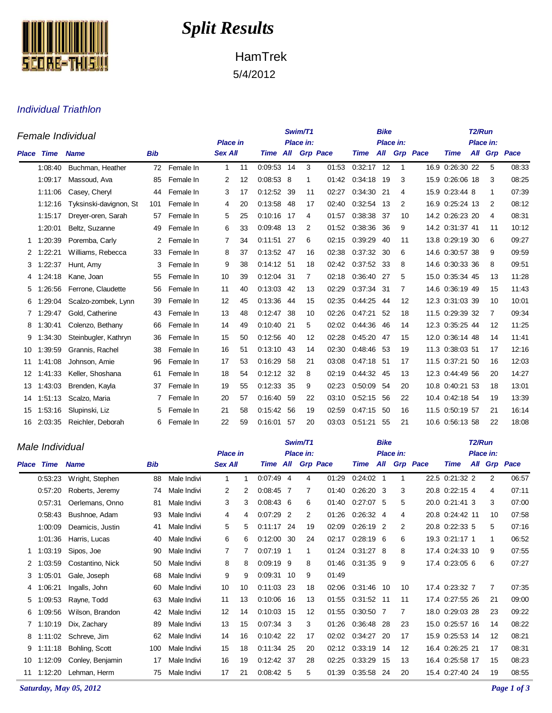

## *Split Results*

HamTrek 5/4/2012

## Individual Triathlon

| Female Individual |             |                        |            |           |                |                              |              |     | Swim/T1 |                 |              |     | T <sub>2</sub> /Run |                 |                 |     |    |                 |
|-------------------|-------------|------------------------|------------|-----------|----------------|------------------------------|--------------|-----|---------|-----------------|--------------|-----|---------------------|-----------------|-----------------|-----|----|-----------------|
|                   |             |                        |            |           |                | Place in:<br><b>Place in</b> |              |     |         |                 |              |     | Place in:           |                 |                 |     |    |                 |
| <b>Place</b>      | <b>Time</b> | <b>Name</b>            | <b>Bib</b> |           | <b>Sex All</b> |                              | Time All     |     |         | <b>Grp Pace</b> | <b>Time</b>  | All |                     | <b>Grp</b> Pace | <b>Time</b>     | All |    | <b>Grp</b> Pace |
|                   | 1:08:40     | Buchman, Heather       | 72         | Female In | $\mathbf{1}$   | 11                           | 0:09:53 14   |     | 3       | 01:53           | $0:32:17$ 12 |     | $\mathbf 1$         |                 | 16.9 0:26:30 22 |     | 5  | 08:33           |
|                   | 1:09:17     | Massoud, Ava           | 85         | Female In | 2              | 12                           | 0:08:53      | - 8 | 1       | 01:42           | 0:34:18      | 19  | 3                   |                 | 15.9 0:26:06 18 |     | 3  | 08:25           |
|                   | 1:11:06     | Casey, Cheryl          | 44         | Female In | 3              | 17                           | 0:12:52      | -39 | 11      | 02:27           | 0:34:30      | 21  | 4                   |                 | 15.9 0:23:44 8  |     | 1  | 07:39           |
|                   | 1:12:16     | Tyksinski-davignon, St | 101        | Female In | 4              | 20                           | 0:13:58      | 48  | 17      | 02:40           | 0:32:54      | 13  | 2                   |                 | 16.9 0:25:24 13 |     | 2  | 08:12           |
|                   | 1:15:17     | Dreyer-oren, Sarah     | 57         | Female In | 5              | 25                           | 0:10:16      | -17 | 4       | 01:57           | 0:38:38      | -37 | 10                  |                 | 14.2 0:26:23 20 |     | 4  | 08:31           |
|                   | 1:20:01     | Beltz, Suzanne         | 49         | Female In | 6              | 33                           | 0:09:48      | 13  | 2       | 01:52           | 0:38:36      | 36  | 9                   |                 | 14.2 0:31:37 41 |     | 11 | 10:12           |
| 1                 | 1:20:39     | Poremba, Carly         | 2          | Female In | 7              | 34                           | 0:11:51      | 27  | 6       | 02:15           | 0:39:29      | 40  | 11                  |                 | 13.8 0:29:19 30 |     | 6  | 09:27           |
| 2                 | 1:22:21     | Williams, Rebecca      | 33         | Female In | 8              | 37                           | 0:13:52      | -47 | 16      | 02:38           | 0:37:32      | -30 | 6                   |                 | 14.6 0:30:57 38 |     | 9  | 09:59           |
|                   | 1:22:37     | Hunt, Amy              | 3          | Female In | 9              | 38                           | $0:14:12$ 51 |     | 18      | 02:42           | 0:37:52      | -33 | 8                   |                 | 14.6 0:30:33 36 |     | 8  | 09:51           |
| 4                 | 1:24:18     | Kane, Joan             | 55         | Female In | 10             | 39                           | 0:12:04 31   |     | 7       | 02:18           | 0:36:40      | -27 | 5                   |                 | 15.0 0:35:34 45 |     | 13 | 11:28           |
| 5                 | 1:26:56     | Ferrone, Claudette     | 56         | Female In | 11             | 40                           | 0:13:03      | -42 | 13      | 02:29           | 0:37:34 31   |     | 7                   |                 | 14.6 0:36:19 49 |     | 15 | 11:43           |
| 6                 | 1:29:04     | Scalzo-zombek, Lynn    | 39         | Female In | 12             | 45                           | 0:13:36      | 44  | 15      | 02:35           | 0:44:25      | 44  | 12                  |                 | 12.3 0:31:03 39 |     | 10 | 10:01           |
|                   | 1:29:47     | Gold, Catherine        | 43         | Female In | 13             | 48                           | 0:12:47      | -38 | 10      | 02:26           | 0:47:21      | 52  | 18                  |                 | 11.5 0:29:39 32 |     | 7  | 09:34           |
| 8                 | 1:30:41     | Colenzo, Bethany       | 66         | Female In | 14             | 49                           | 0:10:40      | -21 | 5       | 02:02           | 0:44:36      | 46  | 14                  |                 | 12.3 0:35:25 44 |     | 12 | 11:25           |
| 9                 | 1:34:30     | Steinbugler, Kathryn   | 36         | Female In | 15             | 50                           | 0:12:56      | 40  | 12      | 02:28           | 0:45.20      | 47  | 15                  |                 | 12.0 0:36:14 48 |     | 14 | 11:41           |
| 10                | 1:39:59     | Grannis, Rachel        | 38         | Female In | 16             | 51                           | 0:13:10      | 43  | 14      | 02:30           | 0:48:46      | -53 | 19                  |                 | 11.3 0:38:03 51 |     | 17 | 12:16           |
| 11                | 1:41:08     | Johnson, Amie          | 96         | Female In | 17             | 53                           | 0:16:29      | 58  | 21      | 03:08           | 0:47:18      | -51 | 17                  |                 | 11.5 0:37:21 50 |     | 16 | 12:03           |
| 12                | 1:41:33     | Keller, Shoshana       | 61         | Female In | 18             | 54                           | 0:12:12 32   |     | 8       | 02:19           | 0:44:32      | -45 | 13                  |                 | 12.3 0:44:49 56 |     | 20 | 14:27           |
| 13                | 1:43:03     | Brenden, Kayla         | 37         | Female In | 19             | 55                           | 0:12:33      | 35  | 9       | 02:23           | 0:50:09      | 54  | 20                  |                 | 10.8 0:40:21 53 |     | 18 | 13:01           |
| 14                | 1:51:13     | Scalzo, Maria          |            | Female In | 20             | 57                           | 0:16:40      | -59 | 22      | 03:10           | 0:52:15      | 56  | 22                  |                 | 10.4 0:42:18 54 |     | 19 | 13:39           |
| 15                | 1:53:16     | Slupinski, Liz         | 5          | Female In | 21             | 58                           | 0:15:42 56   |     | 19      | 02:59           | 0:47:15      | 50  | 16                  |                 | 11.5 0:50:19 57 |     | 21 | 16:14           |
| 16                | 2:03:35     | Reichler, Deborah      | 6          | Female In | 22             | 59                           | 0.16:01      | -57 | 20      | 03:03           | 0:51:21      | 55  | 21                  |                 | 10.6 0.56.13 58 |     | 22 | 18:08           |

|                      | Male Individual |                  |            |             |                              | Swim/T1 |                  |                |                | T <sub>2</sub> /Run |             |     |                 |                 |                 |  |                |              |
|----------------------|-----------------|------------------|------------|-------------|------------------------------|---------|------------------|----------------|----------------|---------------------|-------------|-----|-----------------|-----------------|-----------------|--|----------------|--------------|
|                      |                 |                  |            |             | <b>Place in</b><br>Place in: |         |                  |                |                |                     |             |     | Place in:       |                 |                 |  |                |              |
| <b>Place</b>         | Time            | <b>Name</b>      | <b>Bib</b> |             | <b>Sex All</b>               |         | Time All         |                |                | <b>Grp Pace</b>     | <b>Time</b> | All |                 | <b>Grp</b> Pace | <b>Time</b>     |  |                | All Grp Pace |
|                      | 0:53:23         | Wright, Stephen  | 88         | Male Indivi | 1                            | 1       | $0.07.49$ 4      |                | 4              | 01:29               | $0:24:02$ 1 |     | 1               |                 | 22.5 0:21:32 2  |  | $\overline{2}$ | 06:57        |
|                      | 0.57:20         | Roberts, Jeremy  | 74         | Male Indivi | 2                            | 2       | $0:08:45$ 7      |                | 7              | 01:40               | $0:26:20$ 3 |     | 3               |                 | 20.8 0:22:15 4  |  | 4              | 07:11        |
|                      | 0:57:31         | Oerlemans, Onno  | 81         | Male Indivi | 3                            | 3       | $0.08.43\quad 6$ |                | 6              | 01:40               | $0.27:07$ 5 |     | 5               |                 | 20.0 0:21:41 3  |  | 3              | 07:00        |
|                      | 0:58:43         | Bushnoe, Adam    | 93         | Male Indivi | 4                            | 4       | 0:07:29          | $\overline{2}$ | $\overline{2}$ | 01:26               | $0:26:32$ 4 |     | 4               |                 | 20.8 0:24:42 11 |  | 10             | 07:58        |
|                      | 1:00:09         | Deamicis, Justin | 41         | Male Indivi | 5                            | 5       | 0:11:17          | -24            | 19             | 02:09               | 0:26:19     | 2   | 2               |                 | 20.8 0:22:33 5  |  | 5              | 07:16        |
|                      | 1:01:36         | Harris, Lucas    | 40         | Male Indivi | 6                            | 6       | 0:12:00          | 30             | 24             | 02:17               | 0:28:19     | 6   | 6               |                 | 19.3 0:21:17 1  |  |                | 06:52        |
|                      | 1:03:19         | Sipos, Joe       | 90         | Male Indivi | 7                            |         | $0.07:19$ 1      |                | 1              | 01:24               | 0:31:27     | -8  | 8               |                 | 17.4 0.24:33 10 |  | 9              | 07:55        |
| $\mathbf{2}^{\circ}$ | .03.59          | Costantino, Nick | 50         | Male Indivi | 8                            | 8       | $0:09:19$ 9      |                | 8              | 01:46               | 0:31:35     | 9   | 9               |                 | 17.4 0:23:05 6  |  | 6              | 07:27        |
| 3                    | 1:05:01         | Gale, Joseph     | 68         | Male Indivi | 9                            | 9       | 0:09:31          | 10             | 9              | 01:49               |             |     |                 |                 |                 |  |                |              |
| 4                    | 1:06:21         | Ingalls, John    | 60         | Male Indivi | 10                           | 10      | 0:11:03          | -23            | 18             | 02:06               | 0:31:46 10  |     | 10 <sup>1</sup> |                 | 17.4 0:23:32 7  |  | 7              | 07:35        |
| 5                    | .09.53          | Rayne, Todd      | 63         | Male Indivi | 11                           | 13      | 0:10:06          | 16             | 13             | 01:55               | 0:31:52 11  |     | 11              |                 | 17.4 0:27:55 26 |  | 21             | 09:00        |
| 6                    | .09.56          | Wilson, Brandon  | 42         | Male Indivi | 12                           | 14      | 0:10:03 15       |                | 12             | 01:55               | 0:30:50     | 7   | 7               |                 | 18.0 0:29:03 28 |  | 23             | 09:22        |
|                      | 7 1:10:19       | Dix, Zachary     | 89         | Male Indivi | 13                           | 15      | $0.07.34$ 3      |                | 3              | 01:26               | 0:36:48     | -28 | 23              |                 | 15.0 0:25:57 16 |  | 14             | 08:22        |
| 8                    | 1:11:02         | Schreve, Jim     | 62         | Male Indivi | 14                           | 16      | 0:10:42 22       |                | 17             | 02:02               | 0:34:27     | -20 | 17              |                 | 15.9 0:25:53 14 |  | 12             | 08:21        |
| 9                    | 1:11:18         | Bohling, Scott   | 100        | Male Indivi | 15                           | 18      | 0:11:34          | -25            | 20             | 02:12               | 0:33:19     | 14  | 12              |                 | 16.4 0:26:25 21 |  | 17             | 08:31        |
| 10                   | 1:12:09         | Conley, Benjamin | 17         | Male Indivi | 16                           | 19      | 0:12:42 37       |                | 28             | 02:25               | 0.33.29     | 15  | 13              |                 | 16.4 0:25:58 17 |  | 15             | 08:23        |
| 11                   | 1:12:20         | Lehman, Herm     | 75         | Male Indivi | 17                           | 21      | $0:08:42$ 5      |                | 5              | 01:39               | 0:35:58     | 24  | 20              |                 | 15.4 0:27:40 24 |  | 19             | 08:55        |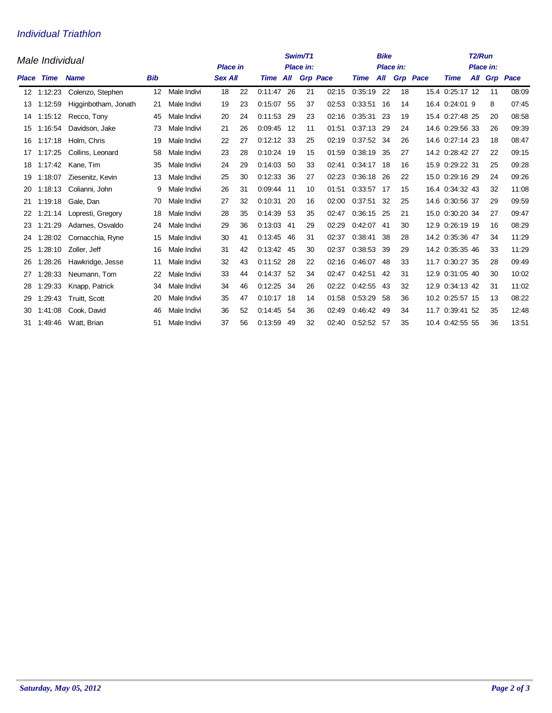## Individual Triathlon

|       | Male Individual |                      | Swim/T1<br><b>Place in</b><br>Place in: |             |                |    |                 |      |                 | <b>Bike</b><br>Place in: |             |     | T <sub>2</sub> /Run<br>Place in: |                 |                 |  |    |              |
|-------|-----------------|----------------------|-----------------------------------------|-------------|----------------|----|-----------------|------|-----------------|--------------------------|-------------|-----|----------------------------------|-----------------|-----------------|--|----|--------------|
| Place | Time            | <b>Name</b>          | <b>Bib</b>                              |             | <b>Sex All</b> |    | <b>Time All</b> |      | <b>Grp Pace</b> |                          | <b>Time</b> | All |                                  | <b>Grp</b> Pace | <b>Time</b>     |  |    | All Grp Pace |
|       | 12 1:12:23      | Colenzo, Stephen     | $12 \overline{ }$                       | Male Indivi | 18             | 22 | 0:11:47 26      |      | 21              | 02:15                    | 0:35:19     | 22  | 18                               |                 | 15.4 0:25:17 12 |  | 11 | 08:09        |
| 13    | 1:12:59         | Higginbotham, Jonath | 21                                      | Male Indivi | 19             | 23 | 0:15:07         | 55   | 37              | 02:53                    | 0:33:51     | 16  | 14                               |                 | 16.4 0:24:01 9  |  | 8  | 07:45        |
| 14    | 1:15:12         | Recco, Tony          | 45                                      | Male Indivi | 20             | 24 | 0:11:53         | -29  | 23              | 02:16                    | 0:35:31     | -23 | 19                               |                 | 15.4 0:27:48 25 |  | 20 | 08:58        |
| 15    | 1:16:54         | Davidson, Jake       | 73                                      | Male Indivi | 21             | 26 | 0:09:45 12      |      | 11              | 01:51                    | 0:37:13     | -29 | 24                               |                 | 14.6 0:29:56 33 |  | 26 | 09:39        |
| 16    | 1:17:18         | Holm, Chris          | 19                                      | Male Indivi | 22             | 27 | $0:12:12$ 33    |      | 25              | 02:19                    | 0:37:52     | -34 | 26                               |                 | 14.6 0:27:14 23 |  | 18 | 08:47        |
| 17    | 1:17:25         | Collins, Leonard     | 58                                      | Male Indivi | 23             | 28 | 0:10:24         | -19  | 15              | 01:59                    | 0:38:19     | 35  | 27                               |                 | 14.2 0:28:42 27 |  | 22 | 09:15        |
| 18    | 1:17:42         | Kane, Tim            | 35                                      | Male Indivi | 24             | 29 | 0:14:03         | -50  | 33              | 02:41                    | 0:34:17     | 18  | 16                               |                 | 15.9 0:29:22 31 |  | 25 | 09:28        |
| 19    | 1:18:07         | Ziesenitz, Kevin     | 13                                      | Male Indivi | 25             | 30 | 0:12:33         | 36   | 27              | 02:23                    | 0:36:18     | 26  | 22                               |                 | 15.0 0:29:16 29 |  | 24 | 09:26        |
| 20    | 1:18:13         | Colianni, John       | 9                                       | Male Indivi | 26             | 31 | 0:09:44         | - 11 | 10              | 01:51                    | 0:33:57     | -17 | 15                               |                 | 16.4 0:34:32 43 |  | 32 | 11:08        |
| 21    | 1:19:18         | Gale, Dan            | 70                                      | Male Indivi | 27             | 32 | 0:10:31         | 20   | 16              | 02:00                    | 0:37:51     | 32  | 25                               |                 | 14.6 0:30:56 37 |  | 29 | 09:59        |
| 22    | 1:21:14         | Lopresti, Gregory    | 18                                      | Male Indivi | 28             | 35 | 0:14:39         | -53  | 35              | 02:47                    | 0:36:15     | -25 | 21                               |                 | 15.0 0:30:20 34 |  | 27 | 09:47        |
| 23    | 1:21:29         | Adames, Osvaldo      | 24                                      | Male Indivi | 29             | 36 | 0:13:03 41      |      | 29              | 02:29                    | 0:42:07     | -41 | 30                               |                 | 12.9 0:26:19 19 |  | 16 | 08:29        |
| 24    | 1:28:02         | Cornacchia, Ryne     | 15                                      | Male Indivi | 30             | 41 | 0:13:45         | -46  | 31              | 02:37                    | 0:38:41     | 38  | 28                               |                 | 14.2 0:35:36 47 |  | 34 | 11:29        |
| 25    | 1:28:10         | Zoller, Jeff         | 16                                      | Male Indivi | 31             | 42 | 0:13:42 45      |      | 30              | 02:37                    | 0:38:53     | 39  | 29                               |                 | 14.2 0:35:35 46 |  | 33 | 11:29        |
| 26    | 1:28:26         | Hawkridge, Jesse     | 11                                      | Male Indivi | 32             | 43 | 0:11:52         | -28  | 22              | 02:16                    | 0:46:07     | 48  | 33                               |                 | 11.7 0:30:27 35 |  | 28 | 09:49        |
| 27    | 1:28:33         | Neumann, Tom         | 22                                      | Male Indivi | 33             | 44 | 0:14:37         | -52  | 34              | 02:47                    | 0.42.51     | 42  | 31                               |                 | 12.9 0:31:05 40 |  | 30 | 10:02        |
| 28    | 1:29:33         | Knapp, Patrick       | 34                                      | Male Indivi | 34             | 46 | 0:12:25         | 34   | 26              | 02:22                    | 0:42:55     | 43  | 32                               |                 | 12.9 0:34:13 42 |  | 31 | 11:02        |
| 29    | 1:29:43         | Truitt, Scott        | 20                                      | Male Indivi | 35             | 47 | 0:10:17         | -18  | 14              | 01:58                    | 0:53:29     | 58  | 36                               |                 | 10.2 0:25:57 15 |  | 13 | 08:22        |
| 30    | 1:41:08         | Cook, David          | 46                                      | Male Indivi | 36             | 52 | 0.14:45         | 54   | 36              | 02:49                    | 0:46:42     | 49  | 34                               | 11.7            | 0:39:41 52      |  | 35 | 12:48        |
|       | 31 1:49:46      | Watt, Brian          | 51                                      | Male Indivi | 37             | 56 | 0:13:59         | 49   | 32              | 02:40                    | 0.52.52     | -57 | 35                               |                 | 10.4 0:42:55 55 |  | 36 | 13:51        |